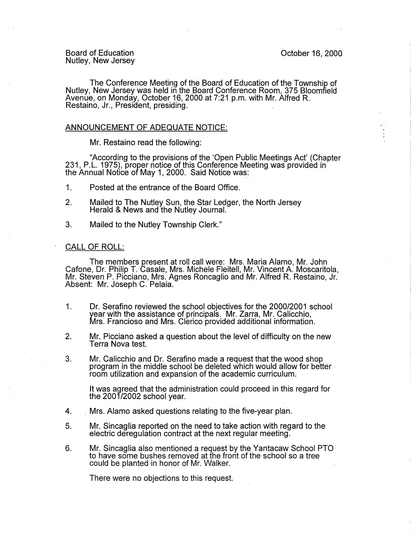Board of Education Nutley, New Jersey

The Conference Meeting of the Board of Education of the Township of Nutley, New Jersey was held in the Board Conference Room, 375 Bloomfield Avenue, on Monday, October 16, 2000 at 7:21 p.m. with Mr. Alfred R. Restaino, Jr., President, presiding.

## ANNOUNCEMENT OF ADEQUATE NOTICE:

Mr. Restaino read the following:

"According to the provisions of the 'Open Public Meetings Act' (Chapter 231, P.L. 1975), proper notice of this Conference Meeting was provided in the Annual Notice of May 1, 2000. Said Notice was:

- 1. Posted at the entrance of the Board Office.
- 2. Mailed to The Nutley Sun, the Star Ledger, the North Jersey Herald & News and the Nutley Journal.
- 3. Mailed to the Nutley Township Clerk."

## CALL OF ROLL:

The members present at roll call were: Mrs. Maria Alamo, Mr. John Cafone, Dr. Philip T. Casale, Mrs. Michele Fleitell, Mr. Vincent A. Moscaritola, Mr. Steven P. Picciano, Mrs. Agnes Roncaglio and Mr. Alfred R. Restaino, Jr. Absent: Mr. Joseph C. Pelaia. **Exercise Serverse Street** 

- 1. Dr. Serafino reviewed the school objectives for the 2000/2001 school year with the assistance of principals. Mr. Zarra, Mr. Calicchio, Mrs. Francioso and Mrs. Clerico provided additional information.
- 2. Mr. Picciano asked a question about the level of difficulty on the new Terra Nova test.
- 3. Mr. Calicchio and Dr. Serafino made a request that the wood shop program in the middle school be deleted which would allow for better room utilization and expansion of the academic curriculum.

It was agreed that the administration could proceed in this regard for the 2001/2002 school year.

- 4. . Mrs. Alamo asked questions relating to the five-year plan.
- 5. Mr. Sincaglia reported on the need to take action with regard to the electric deregulation contract at the next regular meeting.
- 6. Mr. Sincaglia also mentioned a request by the Yantacaw School PTO to have some bushes removed at the front of the school so a tree could be planted in honor of Mr. Walker.

There were no objections to this request.